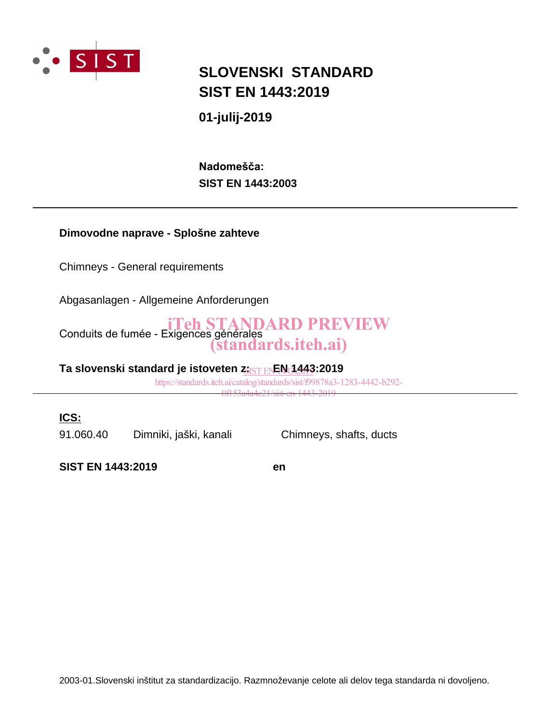

### **SLOVENSKI STANDARD SIST EN 1443:2019**

**01-julij-2019**

**SIST EN 1443:2003 Nadomešča:**

**Dimovodne naprave - Splošne zahteve**

Chimneys - General requirements

Abgasanlagen - Allgemeine Anforderungen

Conduits de fumée - Exigences générales (standards.iteh.ai)

**Ta slovenski standard je istoveten z: EN 1443:2019** SIST EN 1443:2019

https://standards.iteh.ai/catalog/standards/sist/f99878a3-1283-4442-b292- 0f153a4a4c21/sist-en-1443-2019

**ICS:**

91.060.40 Dimniki, jaški, kanali Chimneys, shafts, ducts

**SIST EN 1443:2019 en**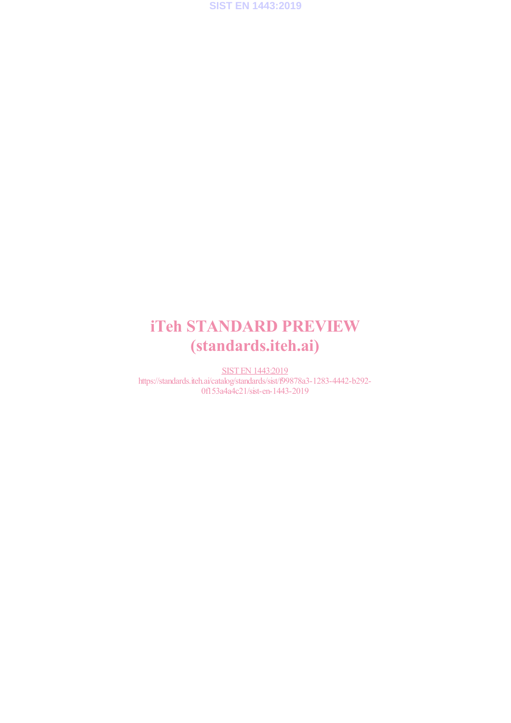**SIST EN 1443:2019**

# iTeh STANDARD PREVIEW (standards.iteh.ai)

SIST EN 1443:2019 https://standards.iteh.ai/catalog/standards/sist/f99878a3-1283-4442-b292- 0f153a4a4c21/sist-en-1443-2019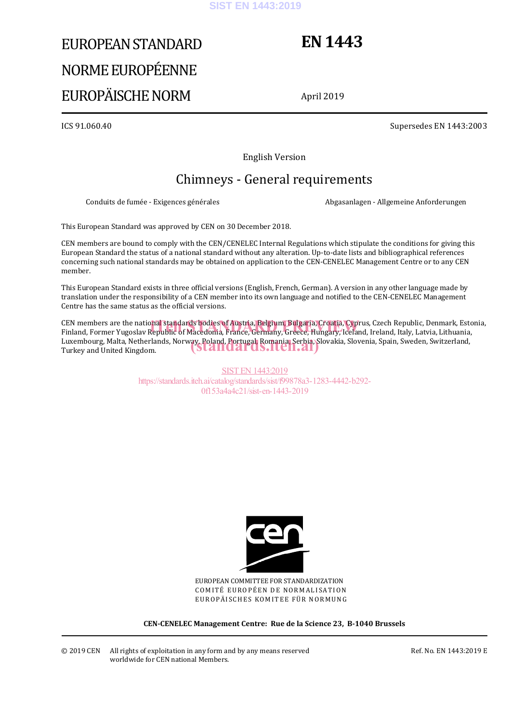#### **SIST EN 1443:2019**

# EUROPEAN STANDARD NORME EUROPÉENNE EUROPÄISCHE NORM

## **EN 1443**

April 2019

ICS 91.060.40 Supersedes EN 1443:2003

English Version

### Chimneys - General requirements

Conduits de fumée - Exigences générales Absorber Abgasanlagen - Allgemeine Anforderungen

This European Standard was approved by CEN on 30 December 2018.

CEN members are bound to comply with the CEN/CENELEC Internal Regulations which stipulate the conditions for giving this European Standard the status of a national standard without any alteration. Up-to-date lists and bibliographical references concerning such national standards may be obtained on application to the CEN-CENELEC Management Centre or to any CEN member.

This European Standard exists in three official versions (English, French, German). A version in any other language made by translation under the responsibility of a CEN member into its own language and notified to the CEN-CENELEC Management Centre has the same status as the official versions.

CEN members are the national standards bodies of Austria, Belgium, Bulgaria, Croatia, Cyprus, Czech Republic, Denmark, Estonia,<br>Finland, Former Yugoslav Republic of Macedonia, France, Germany, Greece, Hungary, Iceland, Ire Finland, Former Yugoslav Republic of Macedonia, France, Germany, Greece, Hungary, Iceland, Ireland, Italy, Latvia, Lithuania, Luxembourg, Malta, Netherlands, Norway, Poland, Portugal, Romania, Serbia, Slovakia, Slovenia, Spain, Sweden, Switzerland,<br>Turkey and United Kingdom. Turkey and United Kingdom.

> SIST EN 1443:2019 https://standards.iteh.ai/catalog/standards/sist/f99878a3-1283-4442-b292- 0f153a4a4c21/sist-en-1443-2019



EUROPEAN COMMITTEE FOR STANDARDIZATION COMITÉ EUROPÉEN DE NORMALISATION EUROPÄISCHES KOMITEE FÜR NORMUNG

**CEN-CENELEC Management Centre: Rue de la Science 23, B-1040 Brussels**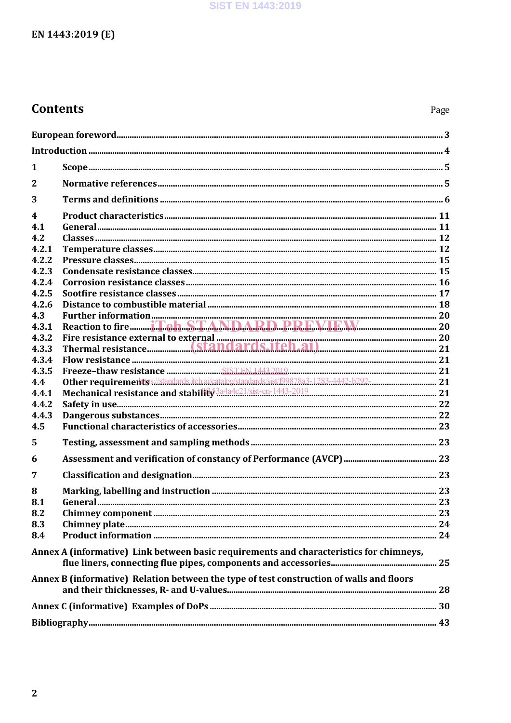### **Contents**

| 1                                                                                        |                                                                                                                                                                                                                                      |  |  |  |
|------------------------------------------------------------------------------------------|--------------------------------------------------------------------------------------------------------------------------------------------------------------------------------------------------------------------------------------|--|--|--|
| $\mathbf{2}$                                                                             |                                                                                                                                                                                                                                      |  |  |  |
| 3                                                                                        |                                                                                                                                                                                                                                      |  |  |  |
| $\overline{\mathbf{4}}$                                                                  |                                                                                                                                                                                                                                      |  |  |  |
| 4.1                                                                                      |                                                                                                                                                                                                                                      |  |  |  |
| 4.2                                                                                      |                                                                                                                                                                                                                                      |  |  |  |
| 4.2.1                                                                                    |                                                                                                                                                                                                                                      |  |  |  |
| 4.2.2                                                                                    |                                                                                                                                                                                                                                      |  |  |  |
| 4.2.3                                                                                    |                                                                                                                                                                                                                                      |  |  |  |
| 4.2.4                                                                                    |                                                                                                                                                                                                                                      |  |  |  |
| 4.2.5                                                                                    |                                                                                                                                                                                                                                      |  |  |  |
| 4.2.6                                                                                    |                                                                                                                                                                                                                                      |  |  |  |
| 4.3                                                                                      |                                                                                                                                                                                                                                      |  |  |  |
| 4.3.1                                                                                    |                                                                                                                                                                                                                                      |  |  |  |
| 4.3.2                                                                                    |                                                                                                                                                                                                                                      |  |  |  |
| 4.3.3                                                                                    | Fire resistance external to external <b>settem of the contract of the contract of the contract of the contract of the contract of the contract of the contract of the contract of the contract of the contract of the contract o</b> |  |  |  |
| 4.3.4                                                                                    |                                                                                                                                                                                                                                      |  |  |  |
| 4.3.5                                                                                    |                                                                                                                                                                                                                                      |  |  |  |
| 4.4                                                                                      | Other requirements s://standards.itch.ai/catalog/standards/sist/f99878a3-1283-4442-b292-                                                                                                                                             |  |  |  |
| 4.4.1                                                                                    |                                                                                                                                                                                                                                      |  |  |  |
| 4.4.2                                                                                    |                                                                                                                                                                                                                                      |  |  |  |
| 4.4.3                                                                                    |                                                                                                                                                                                                                                      |  |  |  |
| 4.5                                                                                      |                                                                                                                                                                                                                                      |  |  |  |
| 5                                                                                        |                                                                                                                                                                                                                                      |  |  |  |
| 6                                                                                        |                                                                                                                                                                                                                                      |  |  |  |
| 7                                                                                        |                                                                                                                                                                                                                                      |  |  |  |
| 8                                                                                        |                                                                                                                                                                                                                                      |  |  |  |
| 8.1                                                                                      |                                                                                                                                                                                                                                      |  |  |  |
| 8.2                                                                                      |                                                                                                                                                                                                                                      |  |  |  |
| 8.3                                                                                      |                                                                                                                                                                                                                                      |  |  |  |
| 8.4                                                                                      |                                                                                                                                                                                                                                      |  |  |  |
|                                                                                          |                                                                                                                                                                                                                                      |  |  |  |
|                                                                                          | Annex A (informative) Link between basic requirements and characteristics for chimneys,                                                                                                                                              |  |  |  |
| Annex B (informative) Relation between the type of test construction of walls and floors |                                                                                                                                                                                                                                      |  |  |  |
|                                                                                          |                                                                                                                                                                                                                                      |  |  |  |
|                                                                                          |                                                                                                                                                                                                                                      |  |  |  |
|                                                                                          |                                                                                                                                                                                                                                      |  |  |  |
|                                                                                          |                                                                                                                                                                                                                                      |  |  |  |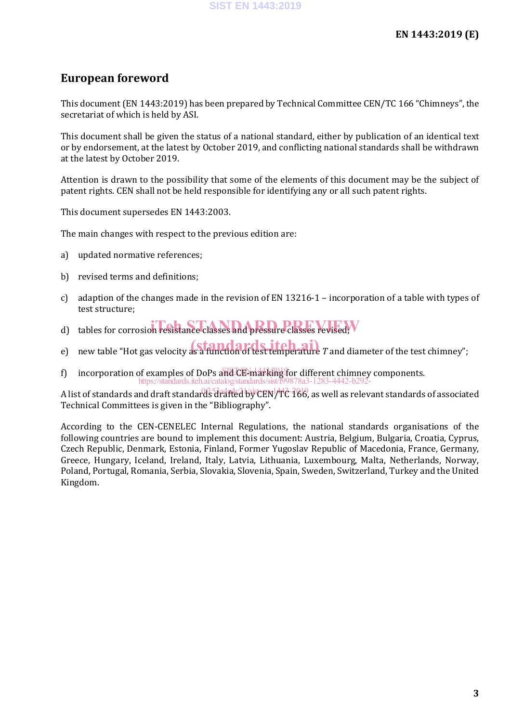### **European foreword**

This document (EN 1443:2019) has been prepared by Technical Committee CEN/TC 166 "Chimneys", the secretariat of which is held by ASI.

This document shall be given the status of a national standard, either by publication of an identical text or by endorsement, at the latest by October 2019, and conflicting national standards shall be withdrawn at the latest by October 2019.

Attention is drawn to the possibility that some of the elements of this document may be the subject of patent rights. CEN shall not be held responsible for identifying any or all such patent rights.

This document supersedes EN 1443:2003.

The main changes with respect to the previous edition are:

- a) updated normative references;
- b) revised terms and definitions;
- c) adaption of the changes made in the revision of EN 13216-1 incorporation of a table with types of test structure;
- d) tables for corrosion resistance classes and pressure classes revised;
- e) new table "Hot gas velocity as a function of test temperature *T* and diameter of the test chimney";
- f) incorporation of examples of DoPs and  $CE$ -marking for different chimney components. https://standards.iteh.ai/catalog/standard

A list of standards and draft standards drafted by CEN/TC 166, as well as relevant standards of associated Technical Committees is given in the "Bibliography".

According to the CEN-CENELEC Internal Regulations, the national standards organisations of the following countries are bound to implement this document: Austria, Belgium, Bulgaria, Croatia, Cyprus, Czech Republic, Denmark, Estonia, Finland, Former Yugoslav Republic of Macedonia, France, Germany, Greece, Hungary, Iceland, Ireland, Italy, Latvia, Lithuania, Luxembourg, Malta, Netherlands, Norway, Poland, Portugal, Romania, Serbia, Slovakia, Slovenia, Spain, Sweden, Switzerland, Turkey and the United Kingdom.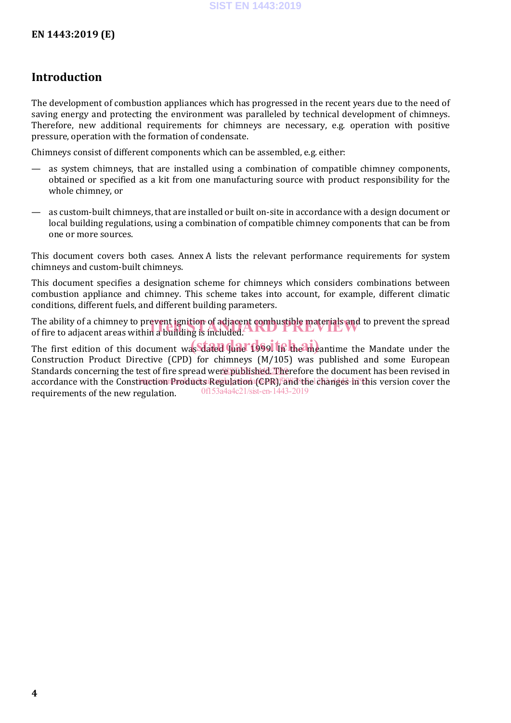### **Introduction**

The development of combustion appliances which has progressed in the recent years due to the need of saving energy and protecting the environment was paralleled by technical development of chimneys. Therefore, new additional requirements for chimneys are necessary, e.g. operation with positive pressure, operation with the formation of condensate.

Chimneys consist of different components which can be assembled, e.g. either:

- as system chimneys, that are installed using a combination of compatible chimney components, obtained or specified as a kit from one manufacturing source with product responsibility for the whole chimney, or
- as custom-built chimneys, that are installed or built on-site in accordance with a design document or local building regulations, using a combination of compatible chimney components that can be from one or more sources.

This document covers both cases. Annex A lists the relevant performance requirements for system chimneys and custom-built chimneys.

This document specifies a designation scheme for chimneys which considers combinations between combustion appliance and chimney. This scheme takes into account, for example, different climatic conditions, different fuels, and different building parameters.

The ability of a chimney to prevent ignition of adjacent combustible materials and to prevent the spread<br>of fire to adjacent areas within a building is included. of fire to adjacent areas within a building is included.

The first edition of this document was dated June 1999. In the meantime the Mandate under the Construction Product Directive (CPD) for chimneys (M/105) was published and some European Standards concerning the test of fire spread were published. Therefore the document has been revised in accordance with the Construction Products Regulation (CPR), and the changes in this version cover the requirements of the new regulation. 0f153a4a4c21/sist-en-1443-2019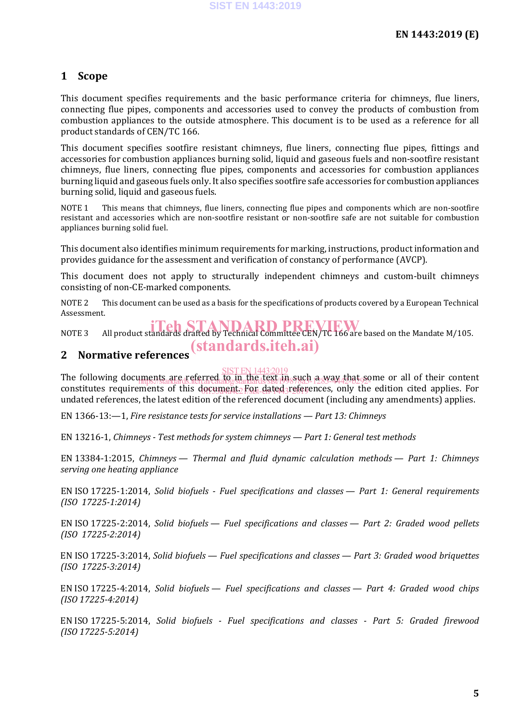#### **1 Scope**

This document specifies requirements and the basic performance criteria for chimneys, flue liners, connecting flue pipes, components and accessories used to convey the products of combustion from combustion appliances to the outside atmosphere. This document is to be used as a reference for all product standards of CEN/TC 166.

This document specifies sootfire resistant chimneys, flue liners, connecting flue pipes, fittings and accessories for combustion appliances burning solid, liquid and gaseous fuels and non-sootfire resistant chimneys, flue liners, connecting flue pipes, components and accessories for combustion appliances burning liquid and gaseous fuels only. It also specifies sootfire safe accessories for combustion appliances burning solid, liquid and gaseous fuels.

NOTE 1 This means that chimneys, flue liners, connecting flue pipes and components which are non-sootfire resistant and accessories which are non-sootfire resistant or non-sootfire safe are not suitable for combustion appliances burning solid fuel.

This document also identifies minimum requirements for marking, instructions, product information and provides guidance for the assessment and verification of constancy of performance (AVCP).

This document does not apply to structurally independent chimneys and custom-built chimneys consisting of non-CE-marked components.

NOTE 2 This document can be used as a basis for the specifications of products covered by a European Technical Assessment.

NOTE 3 All product standards drafted by Technical Committee CEN/TC 166 are based on the Mandate M/105.

#### **2 Normative references** (standards.iteh.ai)

The following documents are referred to in the text in such a way that some or all of their content constitutes requirements of this document,  $f_{95t}$  dated references, only the edition cited applies. For undated references, the latest edition of the referenced document (including any amendments) applies. 1443:2019

EN 1366-13:—1, *Fire resistance tests for service installations — Part 13: Chimneys*

EN 13216-1, *Chimneys - Test methods for system chimneys — Part 1: General test methods*

EN 13384-1:2015, *Chimneys — Thermal and fluid dynamic calculation methods — Part 1: Chimneys serving one heating appliance*

EN ISO 17225-1:2014, *Solid biofuels - Fuel specifications and classes — Part 1: General requirements (ISO 17225-1:2014)*

EN ISO 17225-2:2014, *Solid biofuels — Fuel specifications and classes — Part 2: Graded wood pellets (ISO 17225-2:2014)*

EN ISO 17225-3:2014, *Solid biofuels — Fuel specifications and classes — Part 3: Graded wood briquettes (ISO 17225-3:2014)*

EN ISO 17225-4:2014, *Solid biofuels — Fuel specifications and classes — Part 4: Graded wood chips (ISO 17225-4:2014)*

EN ISO 17225-5:2014, *Solid biofuels - Fuel specifications and classes - Part 5: Graded firewood (ISO 17225-5:2014)*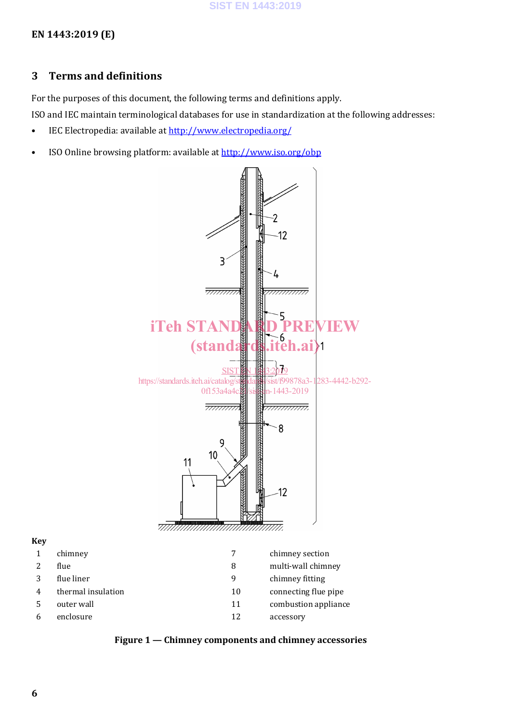### **3 Terms and definitions**

For the purposes of this document, the following terms and definitions apply.

ISO and IEC maintain terminological databases for use in standardization at the following addresses:

- IEC Electropedia: available at http://www.electropedia.org/
- ISO Online browsing platform: available at http://www.iso.org/obp



#### **Key**

| chimney            |    | chimney section      |
|--------------------|----|----------------------|
| flue               | 8  | multi-wall chimney   |
| flue liner         | 9  | chimney fitting      |
| thermal insulation | 10 | connecting flue pipe |
| outer wall         | 11 | combustion appliance |
| enclosure          | 12 | accessory            |
|                    |    |                      |

**Figure 1 — Chimney components and chimney accessories**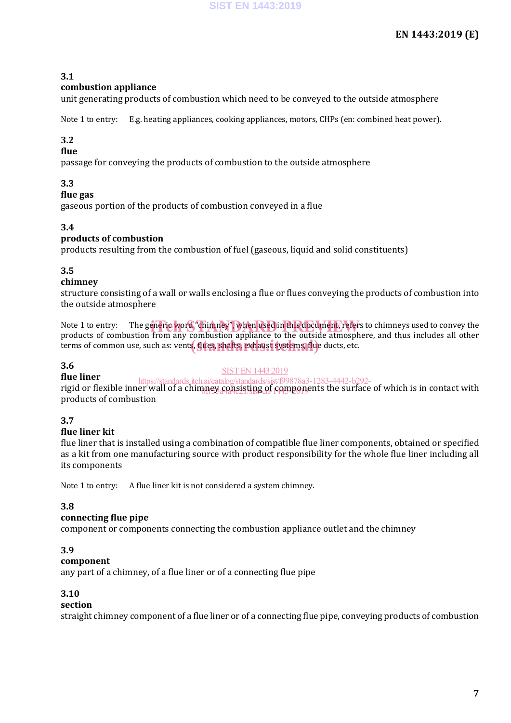#### **3.1**

#### **combustion appliance**

unit generating products of combustion which need to be conveyed to the outside atmosphere

Note 1 to entry: E.g. heating appliances, cooking appliances, motors, CHPs (en: combined heat power).

#### **3.2**

#### **flue**

passage for conveying the products of combustion to the outside atmosphere

#### **3.3**

#### **flue gas**

gaseous portion of the products of combustion conveyed in a flue

#### **3.4**

#### **products of combustion**

products resulting from the combustion of fuel (gaseous, liquid and solid constituents)

#### **3.5**

#### **chimney**

structure consisting of a wall or walls enclosing a flue or flues conveying the products of combustion into the outside atmosphere

Note 1 to entry: The generic word "chimney", when used in this document, refers to chimneys used to convey the<br>products of combustion from any combustion appliance to the outside atmosphere, and thus includes all other products of combustion from any combustion appliance to the outside atmosphere, and thus includes all other terms of common use, such as: vents, flues, shafts, exhaust systems, flue ducts, etc.

#### **3.6**

#### SIST EN 1443:2019

**flue liner** rigid or flexible inner wall of a chimney consisting of components the surface of which is in contact with products of combustion https://standards.iteh.ai/catalog/standards/sist/f99878a3-1283-4442-b292-

#### **3.7**

#### **flue liner kit**

flue liner that is installed using a combination of compatible flue liner components, obtained or specified as a kit from one manufacturing source with product responsibility for the whole flue liner including all its components

Note 1 to entry: A flue liner kit is not considered a system chimney.

#### **3.8**

#### **connecting flue pipe**

component or components connecting the combustion appliance outlet and the chimney

#### **3.9**

#### **component**

any part of a chimney, of a flue liner or of a connecting flue pipe

#### **3.10**

#### **section**

straight chimney component of a flue liner or of a connecting flue pipe, conveying products of combustion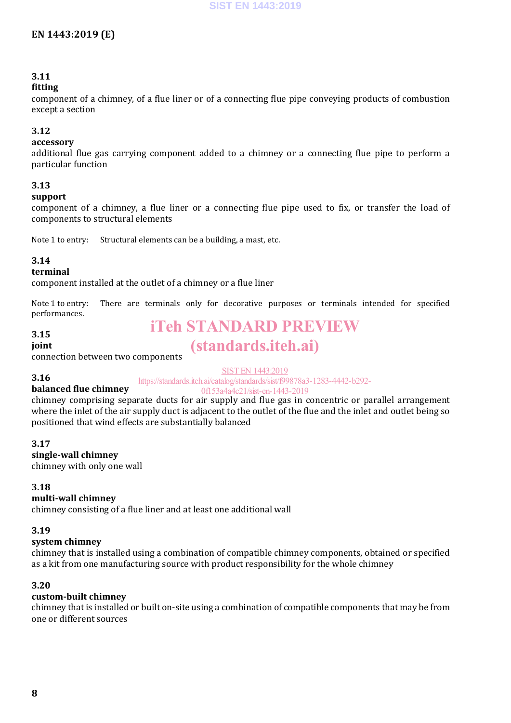#### **3.11**

#### **fitting**

component of a chimney, of a flue liner or of a connecting flue pipe conveying products of combustion except a section

#### **3.12**

#### **accessory**

additional flue gas carrying component added to a chimney or a connecting flue pipe to perform a particular function

#### **3.13**

#### **support**

component of a chimney, a flue liner or a connecting flue pipe used to fix, or transfer the load of components to structural elements

Note 1 to entry: Structural elements can be a building, a mast, etc.

#### **3.14**

#### **terminal**

component installed at the outlet of a chimney or a flue liner

Note 1 to entry: There are terminals only for decorative purposes or terminals intended for specified performances.

### **3.15**

**3.16**

### iTeh STANDARD PREVIEW

### **joint**

### (standards.iteh.ai)

connection between two components

SIST EN 1443:2019

#### https://standards.iteh.ai/catalog/standards/sist/f99878a3-1283-4442-b292-

#### **balanced flue chimney**

chimney comprising separate ducts for air supply and flue gas in concentric or parallel arrangement where the inlet of the air supply duct is adjacent to the outlet of the flue and the inlet and outlet being so positioned that wind effects are substantially balanced 0f153a4a4c21/sist-en-1443-2019

#### **3.17**

#### **single-wall chimney**

chimney with only one wall

#### **3.18**

#### **multi-wall chimney**

chimney consisting of a flue liner and at least one additional wall

#### **3.19**

#### **system chimney**

chimney that is installed using a combination of compatible chimney components, obtained or specified as a kit from one manufacturing source with product responsibility for the whole chimney

#### **3.20**

#### **custom-built chimney**

chimney that is installed or built on-site using a combination of compatible components that may be from one or different sources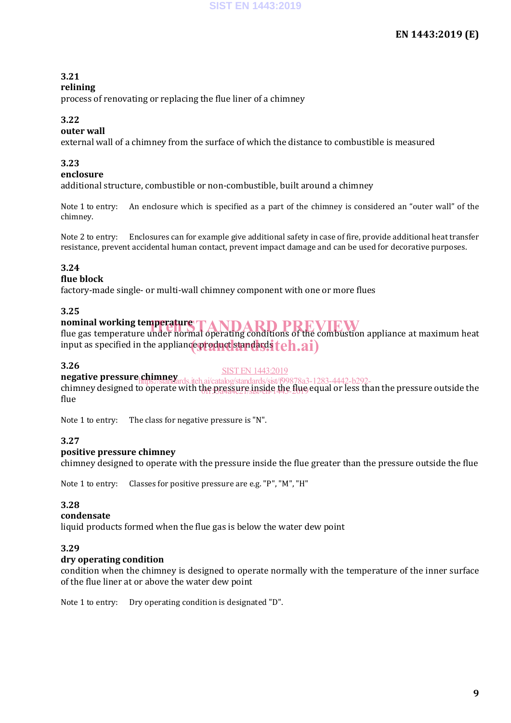### **3.21**

#### **relining**

process of renovating or replacing the flue liner of a chimney

#### **3.22**

#### **outer wall**

external wall of a chimney from the surface of which the distance to combustible is measured

#### **3.23**

#### **enclosure**

additional structure, combustible or non-combustible, built around a chimney

Note 1 to entry: An enclosure which is specified as a part of the chimney is considered an "outer wall" of the chimney.

Note 2 to entry: Enclosures can for example give additional safety in case of fire, provide additional heat transfer resistance, prevent accidental human contact, prevent impact damage and can be used for decorative purposes.

#### **3.24**

#### **flue block**

factory-made single- or multi-wall chimney component with one or more flues

#### **3.25**

#### **nominal working temperature**

nominal working temperature TANDARD PREVIEW TW appliance at maximum heat flue gas temperature under normal operating conditions of the combustion appliance at maximum heat input as specified in the appliance product standards  $\mathbf{teh}.\mathbf{ai})$ 

#### **3.26**

#### SIST EN 1443:2019

**negative pressure chimney**<br>
https://standards.iteh.ai/catalog/standards/sist/f99878a3-1283-4442-b292chimney designed to operate with the pressure inside the flue equal or less than the pressure outside the 0f153a4a4c21/sist-en-1443-2019flue

Note 1 to entry: The class for negative pressure is "N".

#### **3.27**

#### **positive pressure chimney**

chimney designed to operate with the pressure inside the flue greater than the pressure outside the flue

Note 1 to entry: Classes for positive pressure are e.g. "P", "M", "H"

#### **3.28**

#### **condensate**

liquid products formed when the flue gas is below the water dew point

#### **3.29**

#### **dry operating condition**

condition when the chimney is designed to operate normally with the temperature of the inner surface of the flue liner at or above the water dew point

Note 1 to entry: Dry operating condition is designated "D".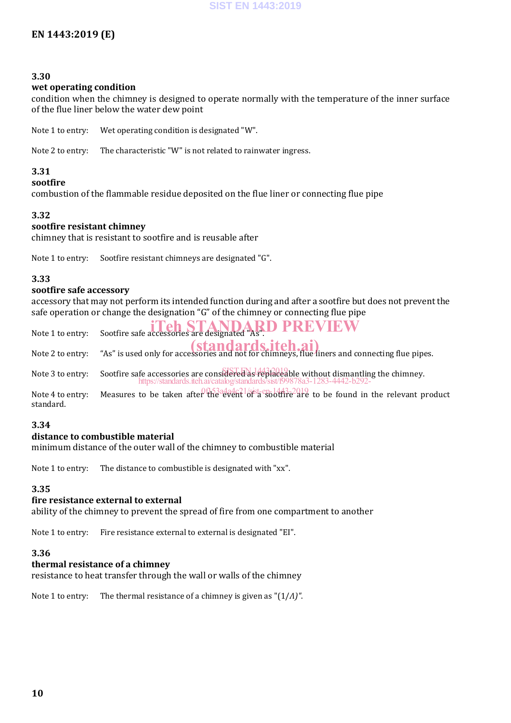#### **3.30**

#### **wet operating condition**

condition when the chimney is designed to operate normally with the temperature of the inner surface of the flue liner below the water dew point

Note 1 to entry: Wet operating condition is designated "W".

Note 2 to entry: The characteristic "W" is not related to rainwater ingress.

#### **3.31**

#### **sootfire**

combustion of the flammable residue deposited on the flue liner or connecting flue pipe

#### **3.32**

#### **sootfire resistant chimney**

chimney that is resistant to sootfire and is reusable after

Note 1 to entry: Sootfire resistant chimneys are designated "G".

#### **3.33**

#### **sootfire safe accessory**

accessory that may not perform its intended function during and after a sootfire but does not prevent the safe operation or change the designation "G" of the chimney or connecting flue pipe

|                               | Note 1 to entry: Sootfire safe accessories are designated "AS". PREVIEW                                                                                                  |
|-------------------------------|--------------------------------------------------------------------------------------------------------------------------------------------------------------------------|
|                               | Note 2 to entry: "As" is used only for accessories and not for chimneys, flue liners and connecting flue pipes.                                                          |
| Note 3 to entry:              | Sootfire safe accessories are considered as replaceable without dismantling the chimney.<br>https://standards.iteh.ai/catalog/standards/sist/199878a3-1283-4442-b292-    |
| Note 4 to entry:<br>standard. | Measures to be taken after the $\frac{1}{4}$ $\frac{1}{2}$ $\frac{1}{4}$ $\frac{1}{2}$ $\frac{1}{4}$ $\frac{1}{2}$ $\frac{1}{2}$ and to be found in the relevant product |

#### **3.34**

#### **distance to combustible material**

minimum distance of the outer wall of the chimney to combustible material

Note 1 to entry: The distance to combustible is designated with "xx".

#### **3.35**

#### **fire resistance external to external**

ability of the chimney to prevent the spread of fire from one compartment to another

Note 1 to entry: Fire resistance external to external is designated "EI".

#### **3.36**

#### **thermal resistance of a chimney**

resistance to heat transfer through the wall or walls of the chimney

Note 1 to entry: The thermal resistance of a chimney is given as "(1/*Λ)"*.